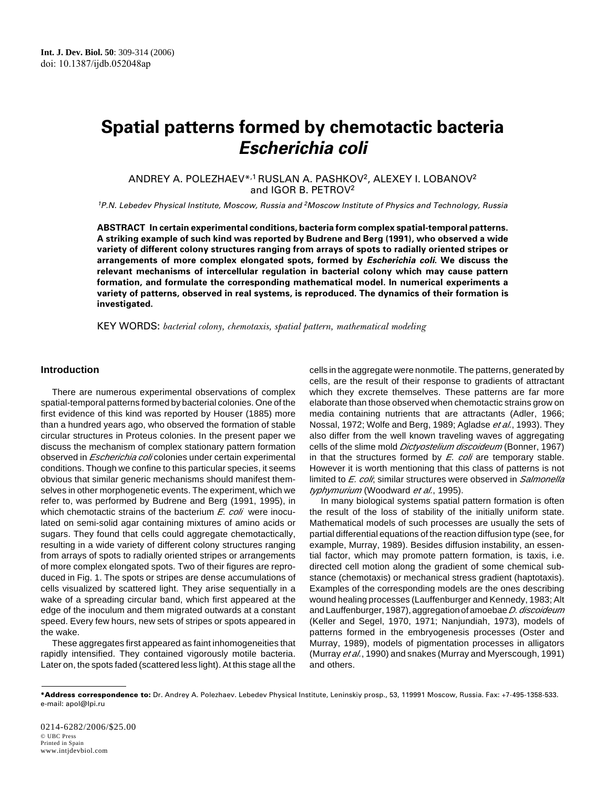# **Spatial patterns formed by chemotactic bacteria Escherichia coli**

ANDREY A. POLEZHAEV\*,1 RUSLAN A. PASHKOV2, ALEXEY I. LOBANOV2 and IGOR B. PETROV2

<sup>1</sup>P.N. Lebedev Physical Institute, Moscow, Russia and <sup>2</sup>Moscow Institute of Physics and Technology, Russia

**ABSTRACT In certain experimental conditions, bacteria form complex spatial-temporal patterns. A striking example of such kind was reported by Budrene and Berg (1991), who observed a wide variety of different colony structures ranging from arrays of spots to radially oriented stripes or arrangements of more complex elongated spots, formed by Escherichia coli. We discuss the relevant mechanisms of intercellular regulation in bacterial colony which may cause pattern formation, and formulate the corresponding mathematical model. In numerical experiments a variety of patterns, observed in real systems, is reproduced. The dynamics of their formation is investigated.**

KEY WORDS: *bacterial colony, chemotaxis, spatial pattern, mathematical modeling*

#### **Introduction**

There are numerous experimental observations of complex spatial-temporal patterns formed by bacterial colonies. One of the first evidence of this kind was reported by Houser (1885) more than a hundred years ago, who observed the formation of stable circular structures in Proteus colonies. In the present paper we discuss the mechanism of complex stationary pattern formation observed in *Escherichia coli* colonies under certain experimental conditions. Though we confine to this particular species, it seems obvious that similar generic mechanisms should manifest themselves in other morphogenetic events. The experiment, which we refer to, was performed by Budrene and Berg (1991, 1995), in which chemotactic strains of the bacterium *E. coli* were inoculated on semi-solid agar containing mixtures of amino acids or sugars. They found that cells could aggregate chemotactically, resulting in a wide variety of different colony structures ranging from arrays of spots to radially oriented stripes or arrangements of more complex elongated spots. Two of their figures are reproduced in Fig. 1. The spots or stripes are dense accumulations of cells visualized by scattered light. They arise sequentially in a wake of a spreading circular band, which first appeared at the edge of the inoculum and them migrated outwards at a constant speed. Every few hours, new sets of stripes or spots appeared in the wake.

These aggregates first appeared as faint inhomogeneities that rapidly intensified. They contained vigorously motile bacteria. Later on, the spots faded (scattered less light). At this stage all the

cells in the aggregate were nonmotile. The patterns, generated by cells, are the result of their response to gradients of attractant which they excrete themselves. These patterns are far more elaborate than those observed when chemotactic strains grow on media containing nutrients that are attractants (Adler, 1966; Nossal, 1972; Wolfe and Berg, 1989; Agladse *et al.*, 1993). They also differ from the well known traveling waves of aggregating cells of the slime mold *Dictyostelium discoideum* (Bonner, 1967) in that the structures formed by *E. coli* are temporary stable. However it is worth mentioning that this class of patterns is not limited to *E. coli*; similar structures were observed in *Salmonella typhymurium* (Woodward *et al.*, 1995).

In many biological systems spatial pattern formation is often the result of the loss of stability of the initially uniform state. Mathematical models of such processes are usually the sets of partial differential equations of the reaction diffusion type (see, for example, Murray, 1989). Besides diffusion instability, an essential factor, which may promote pattern formation, is taxis, i.e. directed cell motion along the gradient of some chemical substance (chemotaxis) or mechanical stress gradient (haptotaxis). Examples of the corresponding models are the ones describing wound healing processes (Lauffenburger and Kennedy, 1983; Alt and Lauffenburger, 1987), aggregation of amoebae *D. discoideum* (Keller and Segel, 1970, 1971; Nanjundiah, 1973), models of patterns formed in the embryogenesis processes (Oster and Murray, 1989), models of pigmentation processes in alligators (Murray *et al.*, 1990) and snakes (Murray and Myerscough, 1991) and others.

**<sup>\*</sup>Address correspondence to:** Dr. Andrey A. Polezhaev. Lebedev Physical Institute, Leninskiy prosp., 53, 119991 Moscow, Russia. Fax: +7-495-1358-533. e-mail: apol@lpi.ru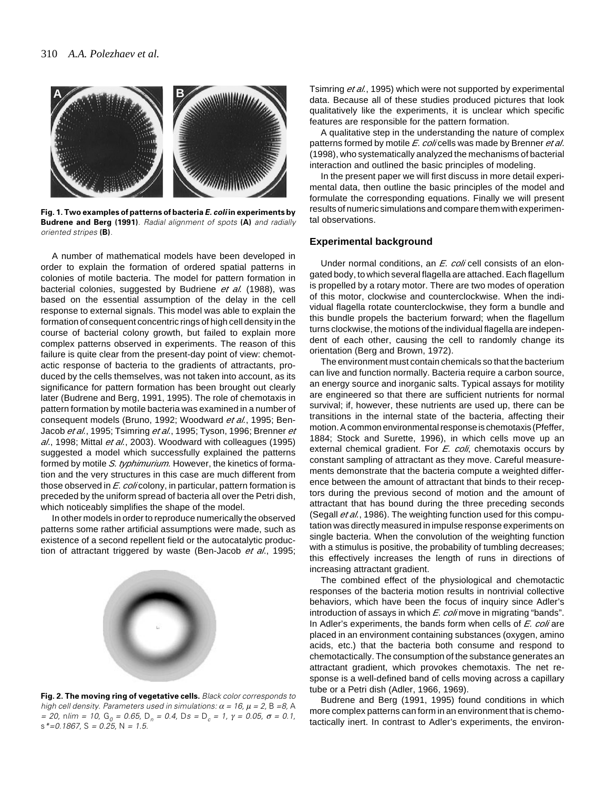

**Fig. 1. Two examples of patterns of bacteria E. coli in experiments by Budrene and Berg (1991)**. Radial alignment of spots **(A)** and radially oriented stripes **(B)**.

A number of mathematical models have been developed in order to explain the formation of ordered spatial patterns in colonies of motile bacteria. The model for pattern formation in bacterial colonies, suggested by Budriene *et al.* (1988), was based on the essential assumption of the delay in the cell response to external signals. This model was able to explain the formation of consequent concentric rings of high cell density in the course of bacterial colony growth, but failed to explain more complex patterns observed in experiments. The reason of this failure is quite clear from the present-day point of view: chemotactic response of bacteria to the gradients of attractants, produced by the cells themselves, was not taken into account, as its significance for pattern formation has been brought out clearly later (Budrene and Berg, 1991, 1995). The role of chemotaxis in pattern formation by motile bacteria was examined in a number of consequent models (Bruno, 1992; Woodward *et al.*, 1995; Ben-Jacob *et al.*, 1995; Tsimring *et al.*, 1995; Tyson, 1996; Brenner *et al*., 1998; Mittal *et al.*, 2003). Woodward with colleagues (1995) suggested a model which successfully explained the patterns formed by motile *S. typhimurium.* However, the kinetics of formation and the very structures in this case are much different from those observed in *E. coli* colony, in particular, pattern formation is preceded by the uniform spread of bacteria all over the Petri dish, which noticeably simplifies the shape of the model.

In other models in order to reproduce numerically the observed patterns some rather artificial assumptions were made, such as existence of a second repellent field or the autocatalytic production of attractant triggered by waste (Ben-Jacob *et al*., 1995;



**Fig. 2. The moving ring of vegetative cells.** Black color corresponds to high cell density. Parameters used in simulations:  $\alpha = 16$ ,  $\mu = 2$ , B = 8, A = 20, nlim = 10, G<sub>0</sub> = 0.65, D<sub>n</sub> = 0.4, Ds = D<sub>c</sub> = 1,  $\gamma$  = 0.05,  $\sigma$  = 0.1,  $s^*$ =0.1867, S = 0.25, N = 1.5.

Tsimring *et al.*, 1995) which were not supported by experimental data. Because all of these studies produced pictures that look qualitatively like the experiments, it is unclear which specific features are responsible for the pattern formation.

A qualitative step in the understanding the nature of complex patterns formed by motile *E. coli* cells was made by Brenner *et al*. (1998), who systematically analyzed the mechanisms of bacterial interaction and outlined the basic principles of modeling.

In the present paper we will first discuss in more detail experimental data, then outline the basic principles of the model and formulate the corresponding equations. Finally we will present results of numeric simulations and compare them with experimental observations.

#### **Experimental background**

Under normal conditions, an *E. coli* cell consists of an elongated body, to which several flagella are attached. Each flagellum is propelled by a rotary motor. There are two modes of operation of this motor, clockwise and counterclockwise. When the individual flagella rotate counterclockwise, they form a bundle and this bundle propels the bacterium forward; when the flagellum turns clockwise, the motions of the individual flagella are independent of each other, causing the cell to randomly change its orientation (Berg and Brown, 1972).

The environment must contain chemicals so that the bacterium can live and function normally. Bacteria require a carbon source, an energy source and inorganic salts. Typical assays for motility are engineered so that there are sufficient nutrients for normal survival; if, however, these nutrients are used up, there can be transitions in the internal state of the bacteria, affecting their motion. A common environmental response is chemotaxis (Pfeffer, 1884; Stock and Surette, 1996), in which cells move up an external chemical gradient. For *E. coli*, chemotaxis occurs by constant sampling of attractant as they move. Careful measurements demonstrate that the bacteria compute a weighted difference between the amount of attractant that binds to their receptors during the previous second of motion and the amount of attractant that has bound during the three preceding seconds (Segall *et al.*, 1986). The weighting function used for this computation was directly measured in impulse response experiments on single bacteria. When the convolution of the weighting function with a stimulus is positive, the probability of tumbling decreases; this effectively increases the length of runs in directions of increasing attractant gradient.

The combined effect of the physiological and chemotactic responses of the bacteria motion results in nontrivial collective behaviors, which have been the focus of inquiry since Adler's introduction of assays in which *E. coli* move in migrating "bands". In Adler's experiments, the bands form when cells of *E. coli* are placed in an environment containing substances (oxygen, amino acids, etc.) that the bacteria both consume and respond to chemotactically. The consumption of the substance generates an attractant gradient, which provokes chemotaxis. The net response is a well-defined band of cells moving across a capillary tube or a Petri dish (Adler, 1966, 1969).

Budrene and Berg (1991, 1995) found conditions in which more complex patterns can form in an environment that is chemotactically inert. In contrast to Adler's experiments, the environ-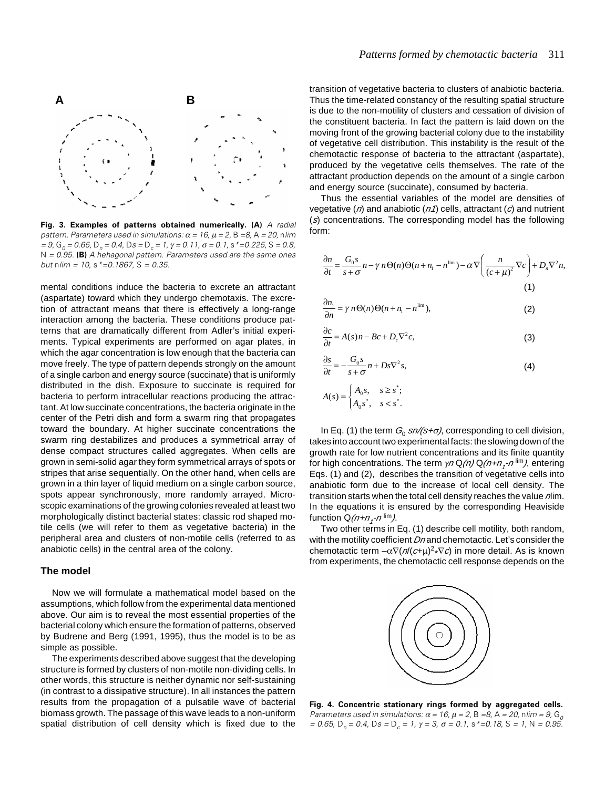

**Fig. 3. Examples of patterns obtained numerically. (A)** A radial pattern. Parameters used in simulations:  $\alpha = 16$ ,  $\mu = 2$ , B = 8, A = 20, nlim = 9, G<sub>0</sub> = 0.65, D<sub>n</sub> = 0.4, Ds = D<sub>c</sub> = 1, γ = 0.11, σ = 0.1, s \*=0.225, S = 0.8, N = 0.95. **(B)** A hehagonal pattern. Parameters used are the same ones but nlim =  $10. s^* = 0.1867$ , S = 0.35.

mental conditions induce the bacteria to excrete an attractant (aspartate) toward which they undergo chemotaxis. The excretion of attractant means that there is effectively a long-range interaction among the bacteria. These conditions produce patterns that are dramatically different from Adler's initial experiments. Typical experiments are performed on agar plates, in which the agar concentration is low enough that the bacteria can move freely. The type of pattern depends strongly on the amount of a single carbon and energy source (succinate) that is uniformly distributed in the dish. Exposure to succinate is required for bacteria to perform intracellular reactions producing the attractant. At low succinate concentrations, the bacteria originate in the center of the Petri dish and form a swarm ring that propagates toward the boundary. At higher succinate concentrations the swarm ring destabilizes and produces a symmetrical array of dense compact structures called aggregates. When cells are grown in semi-solid agar they form symmetrical arrays of spots or stripes that arise sequentially. On the other hand, when cells are grown in a thin layer of liquid medium on a single carbon source, spots appear synchronously, more randomly arrayed. Microscopic examinations of the growing colonies revealed at least two morphologically distinct bacterial states: classic rod shaped motile cells (we will refer to them as vegetative bacteria) in the peripheral area and clusters of non-motile cells (referred to as anabiotic cells) in the central area of the colony.

### **The model**

Now we will formulate a mathematical model based on the assumptions, which follow from the experimental data mentioned above. Our aim is to reveal the most essential properties of the bacterial colony which ensure the formation of patterns, observed by Budrene and Berg (1991, 1995), thus the model is to be as simple as possible.

The experiments described above suggest that the developing structure is formed by clusters of non-motile non-dividing cells. In other words, this structure is neither dynamic nor self-sustaining (in contrast to a dissipative structure). In all instances the pattern results from the propagation of a pulsatile wave of bacterial biomass growth. The passage of this wave leads to a non-uniform spatial distribution of cell density which is fixed due to the

transition of vegetative bacteria to clusters of anabiotic bacteria. Thus the time-related constancy of the resulting spatial structure is due to the non-motility of clusters and cessation of division of the constituent bacteria. In fact the pattern is laid down on the moving front of the growing bacterial colony due to the instability of vegetative cell distribution. This instability is the result of the chemotactic response of bacteria to the attractant (aspartate), produced by the vegetative cells themselves. The rate of the attractant production depends on the amount of a single carbon and energy source (succinate), consumed by bacteria.

Thus the essential variables of the model are densities of vegetative (*n*) and anabiotic (*n1*) cells, attractant (*c*) and nutrient (*s*) concentrations. The corresponding model has the following form:

$$
\frac{\partial n}{\partial t} = \frac{G_0 s}{s + \sigma} n - \gamma n \Theta(n) \Theta(n + n_1 - n^{\text{lim}}) - \alpha \nabla \left( \frac{n}{(c + \mu)^2} \nabla c \right) + D_n \nabla^2 n,
$$
\n(1)

$$
\frac{\partial n_1}{\partial n} = \gamma n \Theta(n) \Theta(n + n_1 - n^{\text{lim}}),\tag{2}
$$

$$
\frac{\partial c}{\partial t} = A(s)n - Bc + D_c \nabla^2 c,\tag{3}
$$

$$
\frac{\partial s}{\partial t} = -\frac{G_0 s}{s + \sigma} n + D s \nabla^2 s,\tag{4}
$$

$$
A(s) = \begin{cases} A_0 s, & s \ge s^*; \\ A_0 s^*, & s < s^*. \end{cases}
$$

In Eq. (1) the term  $G_0$  *sn/(s+σ)*, corresponding to cell division, takes into account two experimental facts: the slowing down of the growth rate for low nutrient concentrations and its finite quantity for high concentrations. The term γ*<sup>n</sup>*Q*(n)* Q*(n+n1 -n* lim*)*, entering Eqs. (1) and (2), describes the transition of vegetative cells into anabiotic form due to the increase of local cell density. The transition starts when the total cell density reaches the value *n*lim. In the equations it is ensured by the corresponding Heaviside function Q*(n+n1 -n* lim*)*.

Two other terms in Eq. (1) describe cell motility, both random, with the motility coefficient *Dn* and chemotactic. Let's consider the chemotactic term –α∇(*n*/(*c*+µ)2 \*∇*c*) in more detail. As is known from experiments, the chemotactic cell response depends on the



**Fig. 4. Concentric stationary rings formed by aggregated cells.** Parameters used in simulations:  $\alpha = 16$ ,  $\mu = 2$ , B = 8, A = 20, nlim = 9, G<sub>o</sub> = 0.65, D<sub>n</sub> = 0.4, Ds = D<sub>c</sub> = 1, γ = 3, σ = 0.1, s \*=0.18, S = 1, N = 0.95.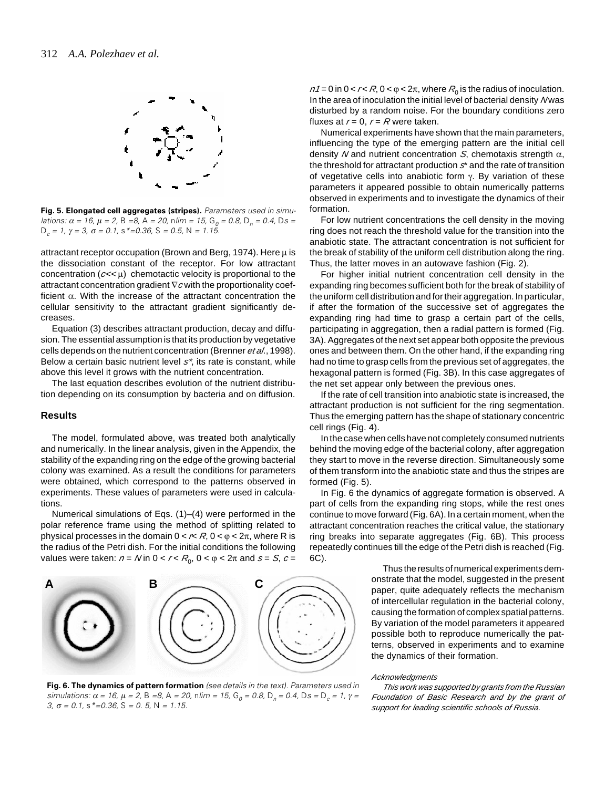

**Fig. 5. Elongated cell aggregates (stripes).** Parameters used in simulations:  $\alpha$  = 16,  $\mu$  = 2, B = 8, A = 20, nlim = 15, G<sub>0</sub> = 0.8, D<sub>n</sub> = 0.4, Ds =  $D_c = 1$ , γ = 3, σ = 0.1, s \*=0.36, S = 0.5, N = 1.15.

attractant receptor occupation (Brown and Berg, 1974). Here  $\mu$  is the dissociation constant of the receptor. For low attractant concentration  $(c<\epsilon\mu)$  chemotactic velocity is proportional to the attractant concentration gradient ∇*c* with the proportionality coefficient  $\alpha$ . With the increase of the attractant concentration the cellular sensitivity to the attractant gradient significantly decreases.

Equation (3) describes attractant production, decay and diffusion. The essential assumption is that its production by vegetative cells depends on the nutrient concentration (Brenner *et al*., 1998). Below a certain basic nutrient level *s\**, its rate is constant, while above this level it grows with the nutrient concentration.

The last equation describes evolution of the nutrient distribution depending on its consumption by bacteria and on diffusion.

#### **Results**

The model, formulated above, was treated both analytically and numerically. In the linear analysis, given in the Appendix, the stability of the expanding ring on the edge of the growing bacterial colony was examined. As a result the conditions for parameters were obtained, which correspond to the patterns observed in experiments. These values of parameters were used in calculations.

Numerical simulations of Eqs. (1)–(4) were performed in the polar reference frame using the method of splitting related to physical processes in the domain  $0 < r < R$ ,  $0 < \varphi < 2\pi$ , where R is the radius of the Petri dish. For the initial conditions the following values were taken:  $n = N$  in  $0 < r < R_0$ ,  $0 < \varphi < 2\pi$  and  $s = S$ ,  $c =$ 



**Fig. 6. The dynamics of pattern formation** (see details in the text). Parameters used in simulations: α = 16, μ = 2, Β =8, Α = 20, nlim = 15, G<sub>0</sub> = 0.8, D<sub>n</sub> = 0.4, Ds = D<sub>c</sub> = 1, γ = 3,  $\sigma = 0.1$ , s  $* = 0.36$ , S = 0. 5, N = 1.15.

 $n1 = 0$  in  $0 < r < R$ ,  $0 < \varphi < 2\pi$ , where  $R_0$  is the radius of inoculation. In the area of inoculation the initial level of bacterial density *N* was disturbed by a random noise. For the boundary conditions zero fluxes at  $r = 0$ ,  $r = R$  were taken.

Numerical experiments have shown that the main parameters, influencing the type of the emerging pattern are the initial cell density *N* and nutrient concentration *S*, chemotaxis strength α, the threshold for attractant production *s*\* and the rate of transition of vegetative cells into anabiotic form γ. By variation of these parameters it appeared possible to obtain numerically patterns observed in experiments and to investigate the dynamics of their formation.

For low nutrient concentrations the cell density in the moving ring does not reach the threshold value for the transition into the anabiotic state. The attractant concentration is not sufficient for the break of stability of the uniform cell distribution along the ring. Thus, the latter moves in an autowave fashion (Fig. 2).

For higher initial nutrient concentration cell density in the expanding ring becomes sufficient both for the break of stability of the uniform cell distribution and for their aggregation. In particular, if after the formation of the successive set of aggregates the expanding ring had time to grasp a certain part of the cells, participating in aggregation, then a radial pattern is formed (Fig. 3A). Aggregates of the next set appear both opposite the previous ones and between them. On the other hand, if the expanding ring had no time to grasp cells from the previous set of aggregates, the hexagonal pattern is formed (Fig. 3B). In this case aggregates of the net set appear only between the previous ones.

If the rate of cell transition into anabiotic state is increased, the attractant production is not sufficient for the ring segmentation. Thus the emerging pattern has the shape of stationary concentric cell rings (Fig. 4).

In the case when cells have not completely consumed nutrients behind the moving edge of the bacterial colony, after aggregation they start to move in the reverse direction. Simultaneously some of them transform into the anabiotic state and thus the stripes are formed (Fig. 5).

In Fig. 6 the dynamics of aggregate formation is observed. A part of cells from the expanding ring stops, while the rest ones continue to move forward (Fig. 6A). In a certain moment, when the attractant concentration reaches the critical value, the stationary ring breaks into separate aggregates (Fig. 6B). This process repeatedly continues till the edge of the Petri dish is reached (Fig. 6C).

> Thus the results of numerical experiments demonstrate that the model, suggested in the present paper, quite adequately reflects the mechanism of intercellular regulation in the bacterial colony, causing the formation of complex spatial patterns. By variation of the model parameters it appeared possible both to reproduce numerically the patterns, observed in experiments and to examine the dynamics of their formation.

#### *Acknowledgments*

*This work was supported by grants from the Russian Foundation of Basic Research and by the grant of support for leading scientific schools of Russia.*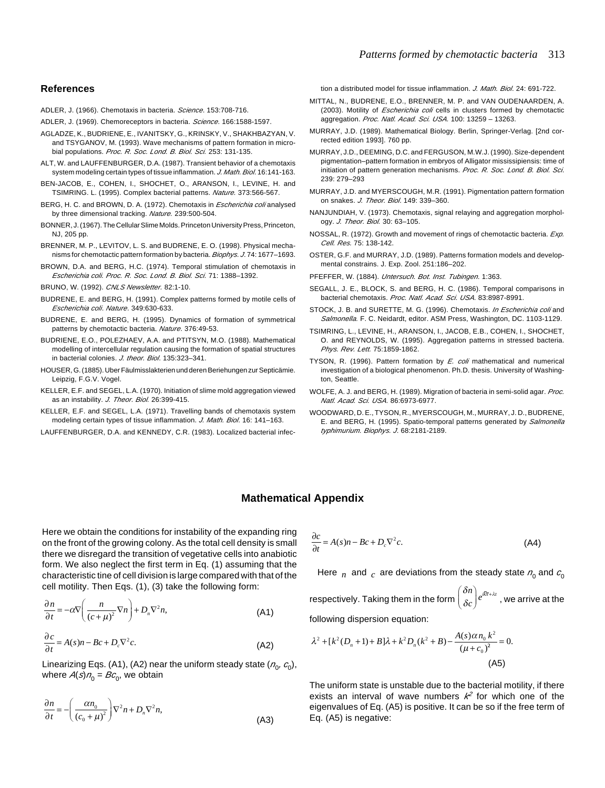#### **References**

- ADLER, J. (1966). Chemotaxis in bacteria. *Science*. 153:708-716.
- ADLER, J. (1969). Chemoreceptors in bacteria. *Science*. 166:1588-1597.
- AGLADZE, K., BUDRIENE, E., IVANITSKY, G., KRINSKY, V., SHAKHBAZYAN, V. and TSYGANOV, M. (1993). Wave mechanisms of pattern formation in microbial populations. *Proc. R. Soc. Lond. B. Biol. Sci.* 253: 131-135.
- ALT, W. and LAUFFENBURGER, D.A. (1987). Transient behavior of a chemotaxis system modeling certain types of tissue inflammation. *J. Math. Biol*. 16:141-163.
- BEN-JACOB, E., COHEN, I., SHOCHET, O., ARANSON, I., LEVINE, H. and TSIMRING. L. (1995). Complex bacterial patterns. *Nature.* 373:566-567.
- BERG, H. C. and BROWN, D. A. (1972). Chemotaxis in *Escherichia coli* analysed by three dimensional tracking. *Nature.* 239:500-504.
- BONNER, J. (1967). The Cellular Slime Molds. Princeton University Press, Princeton, NJ, 205 pp.
- BRENNER, M. P., LEVITOV, L. S. and BUDRENE, E. O. (1998). Physical mechanisms for chemotactic pattern formation by bacteria. *Biophys. J*. 74: 1677–1693.
- BROWN, D.A. and BERG, H.C. (1974). Temporal stimulation of chemotaxis in *Escherichia coli. Proc. R. Soc. Lond. B. Biol. Sci.* 71: 1388–1392.
- BRUNO, W. (1992). *CNLS Newsletter.* 82:1-10.
- BUDRENE, E. and BERG, H. (1991). Complex patterns formed by motile cells of *Escherichia coli*. *Nature*. 349:630-633.
- BUDRENE, E. and BERG, H. (1995). Dynamics of formation of symmetrical patterns by chemotactic bacteria. *Nature*. 376:49-53.
- BUDRIENE, E.O., POLEZHAEV, A.A. and PTITSYN, M.O. (1988). Mathematical modelling of intercellular regulation causing the formation of spatial structures in bacterial colonies. *J. theor. Biol*. 135:323–341.
- HOUSER, G. (1885). Uber Fäulmisslakterien und deren Beriehungen zur Septicämie. Leipzig, F.G.V. Vogel.
- KELLER, E.F. and SEGEL, L.A. (1970). Initiation of slime mold aggregation viewed as an instability. *J. Theor. Biol.* 26:399-415.
- KELLER, E.F. and SEGEL, L.A. (1971). Travelling bands of chemotaxis system modeling certain types of tissue inflammation. *J. Math. Biol*. 16: 141–163.
- LAUFFENBURGER, D.A. and KENNEDY, C.R. (1983). Localized bacterial infec-

tion a distributed model for tissue inflammation. *J. Math. Biol*. 24: 691-722.

- MITTAL, N., BUDRENE, E.O., BRENNER, M. P. and VAN OUDENAARDEN, A. (2003). Motility of *Escherichia coli* cells in clusters formed by chemotactic aggregation. *Proc. Natl. Acad. Sci. USA.* 100: 13259 – 13263.
- MURRAY, J.D. (1989). Mathematical Biology. Berlin, Springer-Verlag. [2nd corrected edition 1993]. 760 pp.
- MURRAY, J.D., DEEMING, D.C. and FERGUSON, M.W.J. (1990). Size-dependent pigmentation–pattern formation in embryos of Alligator mississipiensis: time of initiation of pattern generation mechanisms. *Proc. R. Soc. Lond. B. Biol. Sci*. 239: 279–293
- MURRAY, J.D. and MYERSCOUGH, M.R. (1991). Pigmentation pattern formation on snakes. *J. Theor. Biol*. 149: 339–360.
- NANJUNDIAH, V. (1973). Chemotaxis, signal relaying and aggregation morphology. *J. Theor. Biol.* 30: 63–105.
- NOSSAL, R. (1972). Growth and movement of rings of chemotactic bacteria. *Exp. Cell. Res.* 75: 138-142.
- OSTER, G.F. and MURRAY, J.D. (1989). Patterns formation models and developmental constrains. J. Exp. Zool. 251:186–202.
- PFEFFER, W. (1884). *Untersuch. Bot. Inst. Tubingen.* 1:363.
- SEGALL, J. E., BLOCK, S. and BERG, H. C. (1986). Temporal comparisons in bacterial chemotaxis. *Proc. Natl. Acad. Sci. USA.* 83:8987-8991.
- STOCK, J. B. and SURETTE, M. G. (1996). Chemotaxis. *In Escherichia coli* and *Salmonella.* F. C. Neidardt, editor. ASM Press, Washington, DC. 1103-1129.
- TSIMRING, L., LEVINE, H., ARANSON, I., JACOB, E.B., COHEN, I., SHOCHET, O. and REYNOLDS, W. (1995). Aggregation patterns in stressed bacteria. *Phys. Rev. Lett.* 75:1859-1862.
- TYSON, R. (1996). Pattern formation by *E. coli* mathematical and numerical investigation of a biological phenomenon. Ph.D. thesis. University of Washington, Seattle.
- WOLFE, A. J. and BERG, H. (1989). Migration of bacteria in semi-solid agar. *Proc. Natl. Acad. Sci. USA.* 86:6973-6977.
- WOODWARD, D. E., TYSON, R., MYERSCOUGH, M., MURRAY, J. D., BUDRENE, E. and BERG, H. (1995). Spatio-temporal patterns generated by *Salmonella typhimurium. Biophys. J*. 68:2181-2189.

## **Mathematical Appendix**

Here we obtain the conditions for instability of the expanding ring on the front of the growing colony. As the total cell density is small there we disregard the transition of vegetative cells into anabiotic form. We also neglect the first term in Eq. (1) assuming that the characteristic tine of cell division is large compared with that of the cell motility. Then Eqs. (1), (3) take the following form:

$$
\frac{\partial n}{\partial t} = -\alpha \nabla \left( \frac{n}{\left( c + \mu \right)^2} \nabla n \right) + D_n \nabla^2 n, \tag{A1}
$$

$$
\frac{\partial c}{\partial t} = A(s)n - Bc + D_c \nabla^2 c.
$$
 (A2)

Linearizing Eqs. (A1), (A2) near the uniform steady state ( $n_0$ ,  $c_0$ ), where  $A(s)n_0 = Bc_0$ , we obtain

$$
\frac{\partial n}{\partial t} = -\left(\frac{\alpha n_0}{(c_0 + \mu)^2}\right) \nabla^2 n + D_n \nabla^2 n,
$$
\n(A3)

$$
\frac{\partial c}{\partial t} = A(s)n - Bc + D_c \nabla^2 c.
$$
 (A4)

Here  $n \neq c$  and  $c \neq d$  are deviations from the steady state  $n_0$  and  $c_0$ 

respectively. Taking them in the form δ δ  $\binom{\delta n}{\delta c}e^{i\overline{k}\overline{x}+\lambda t}$  $\left( \right)$  $\int e^{ik\bar{x} + \lambda t}$ , we arrive at the following dispersion equation:

$$
\lambda^{2} + [k^{2}(D_{n} + 1) + B]\lambda + k^{2}D_{n}(k^{2} + B) - \frac{A(s)\alpha n_{0}k^{2}}{(\mu + c_{0})^{2}} = 0.
$$
\n(A5)

The uniform state is unstable due to the bacterial motility, if there exists an interval of wave numbers  $k^2$  for which one of the eigenvalues of Eq. (A5) is positive. It can be so if the free term of Eq. (A5) is negative: